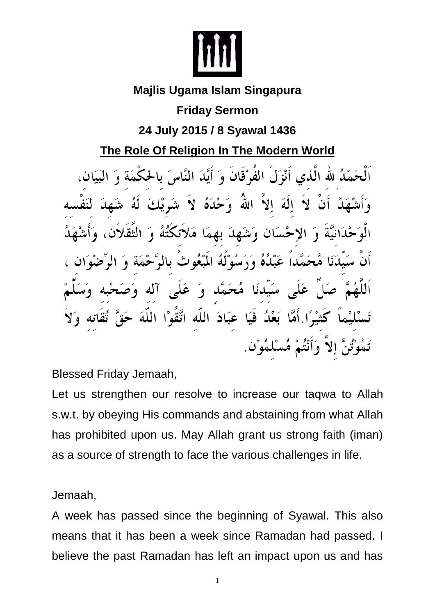

## **Majlis Ugama Islam Singapura**

## **Friday Sermon**

## **24 July 2015 / 8 Syawal 1436**

**The Role Of Religion In The Modern World**

اَلْحَمْلُہ للّٰہ الّٰذی أَنْزَلَ الفُوْقَانَ وَ أَيَّدَ النَّاسَ بِالحُكْمَةِ وَ إِلَهَ إِلاَّ اللَّهُ وَحْدَهُ لاَ شَرِيْكَ حْسَانِ وَشَهِدَ بِهِمَا مَلائِكْتُهُ وَ الثق مُحَمَّداً عَبْدُهُ وَرَسُوْلَهُ الْمَبْعُوثَ بِالرَّحْمَةِ وَ سَيِّدنَا مُحَمَّد وَ عَلَى آله وَم بَعْدُ فَيَا عَبَادَ اللَّه اتَّقُوْا اللَّهَ إِلاَّ وَأَنْتُمْ مُسْلَمُوْنَ.

Blessed Friday Jemaah,

Let us strengthen our resolve to increase our taqwa to Allah s.w.t. by obeying His commands and abstaining from what Allah has prohibited upon us. May Allah grant us strong faith (iman) as a source of strength to face the various challenges in life.

Jemaah,

A week has passed since the beginning of Syawal. This also means that it has been a week since Ramadan had passed. I believe the past Ramadan has left an impact upon us and has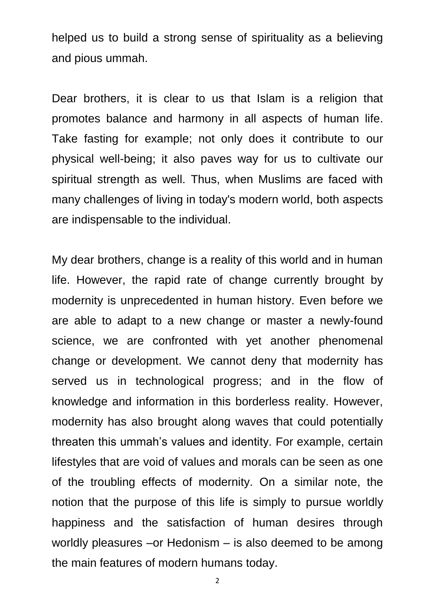helped us to build a strong sense of spirituality as a believing and pious ummah.

Dear brothers, it is clear to us that Islam is a religion that promotes balance and harmony in all aspects of human life. Take fasting for example; not only does it contribute to our physical well-being; it also paves way for us to cultivate our spiritual strength as well. Thus, when Muslims are faced with many challenges of living in today's modern world, both aspects are indispensable to the individual.

My dear brothers, change is a reality of this world and in human life. However, the rapid rate of change currently brought by modernity is unprecedented in human history. Even before we are able to adapt to a new change or master a newly-found science, we are confronted with yet another phenomenal change or development. We cannot deny that modernity has served us in technological progress; and in the flow of knowledge and information in this borderless reality. However, modernity has also brought along waves that could potentially threaten this ummah's values and identity. For example, certain lifestyles that are void of values and morals can be seen as one of the troubling effects of modernity. On a similar note, the notion that the purpose of this life is simply to pursue worldly happiness and the satisfaction of human desires through worldly pleasures –or Hedonism – is also deemed to be among the main features of modern humans today.

2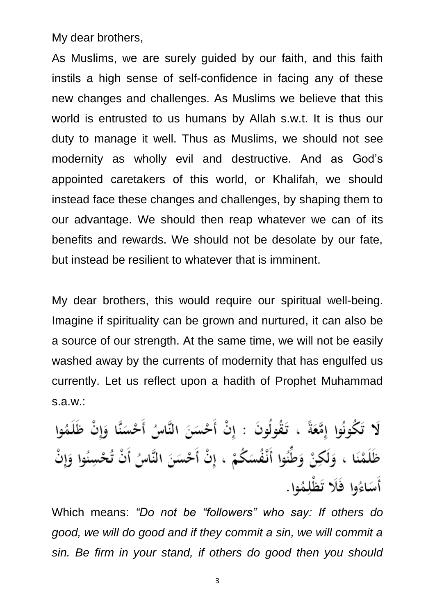My dear brothers,

As Muslims, we are surely guided by our faith, and this faith instils a high sense of self-confidence in facing any of these new changes and challenges. As Muslims we believe that this world is entrusted to us humans by Allah s.w.t. It is thus our duty to manage it well. Thus as Muslims, we should not see modernity as wholly evil and destructive. And as God's appointed caretakers of this world, or Khalifah, we should instead face these changes and challenges, by shaping them to our advantage. We should then reap whatever we can of its benefits and rewards. We should not be desolate by our fate, but instead be resilient to whatever that is imminent.

My dear brothers, this would require our spiritual well-being. Imagine if spirituality can be grown and nurtured, it can also be a source of our strength. At the same time, we will not be easily washed away by the currents of modernity that has engulfed us currently. Let us reflect upon a hadith of Prophet Muhammad s.a.w.:

لَا تَكُونُوا إِمَّعَةً ، تَقُولُونَ : إِنْ أَحْسَنَ النَّاسُ أَحْسَنَّا وَإِنْ ظَلَمُوا ظَلَمْنَا ، وَلَكِنْ وَطِّنُوا أَنْفُسَكُمْ ، إِنْ أَحْسَنَ النَّاسُ أَنْ تُحْسِنُوا وَإِنْ أَسَاءُوا فَلَا تَظْلِمُوا.

Which means: *"Do not be "followers" who say: If others do good, we will do good and if they commit a sin, we will commit a sin. Be firm in your stand, if others do good then you should*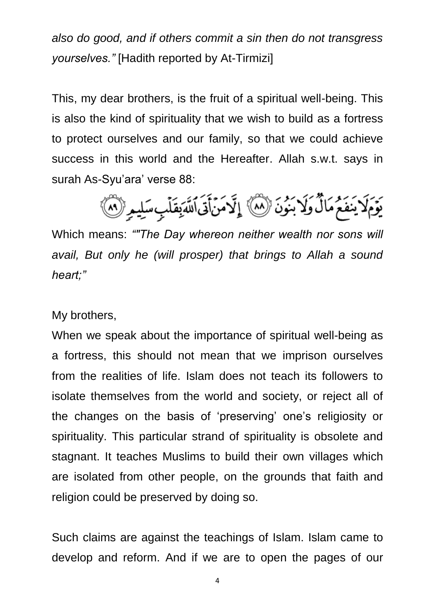*also do good, and if others commit a sin then do not transgress yourselves."* [Hadith reported by At-Tirmizi]

This, my dear brothers, is the fruit of a spiritual well-being. This is also the kind of spirituality that we wish to build as a fortress to protect ourselves and our family, so that we could achieve success in this world and the Hereafter. Allah s.w.t. says in surah As-Syu'ara' verse 88:

يَوۡمَلَا يَنفَعُمُمَالٌ وَلَا بَنُونَ ۚ لَا ٱلۡمَ لَا مَنۡأَتَىٰاللَّهَ بِقَلۡبِ سَلِيمِ ۚ لَا ٱ

Which means: *""The Day whereon neither wealth nor sons will avail, But only he (will prosper) that brings to Allah a sound heart;"*

My brothers,

When we speak about the importance of spiritual well-being as a fortress, this should not mean that we imprison ourselves from the realities of life. Islam does not teach its followers to isolate themselves from the world and society, or reject all of the changes on the basis of 'preserving' one's religiosity or spirituality. This particular strand of spirituality is obsolete and stagnant. It teaches Muslims to build their own villages which are isolated from other people, on the grounds that faith and religion could be preserved by doing so.

Such claims are against the teachings of Islam. Islam came to develop and reform. And if we are to open the pages of our

4